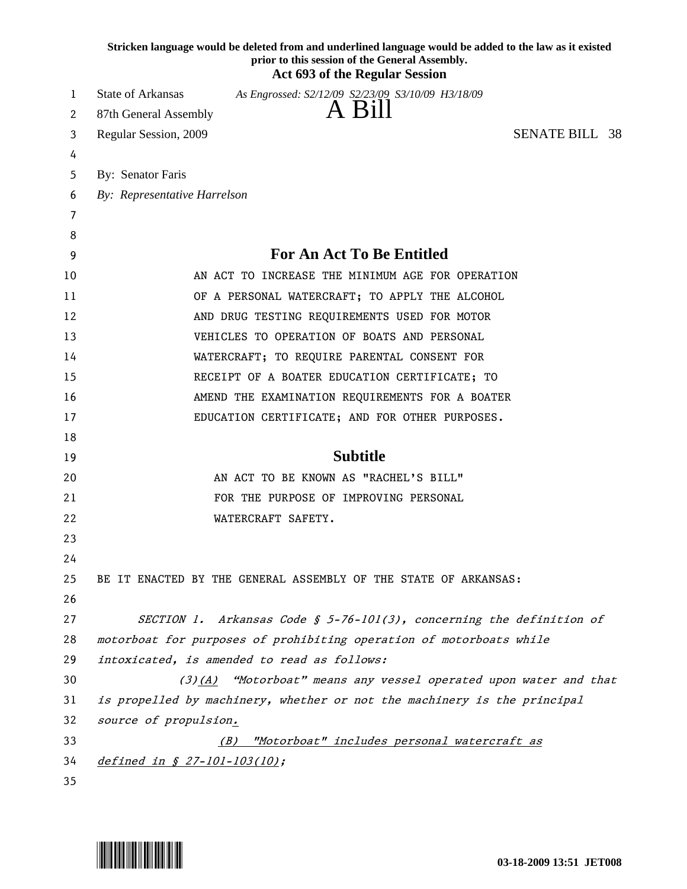|    | Stricken language would be deleted from and underlined language would be added to the law as it existed<br>prior to this session of the General Assembly.<br><b>Act 693 of the Regular Session</b> |  |
|----|----------------------------------------------------------------------------------------------------------------------------------------------------------------------------------------------------|--|
| 1  | <b>State of Arkansas</b><br>As Engrossed: S2/12/09 S2/23/09 S3/10/09 H3/18/09                                                                                                                      |  |
| 2  | A Bill<br>87th General Assembly                                                                                                                                                                    |  |
| 3  | <b>SENATE BILL 38</b><br>Regular Session, 2009                                                                                                                                                     |  |
| 4  |                                                                                                                                                                                                    |  |
| 5  | By: Senator Faris                                                                                                                                                                                  |  |
| 6  | By: Representative Harrelson                                                                                                                                                                       |  |
| 7  |                                                                                                                                                                                                    |  |
| 8  |                                                                                                                                                                                                    |  |
| 9  | <b>For An Act To Be Entitled</b>                                                                                                                                                                   |  |
| 10 | AN ACT TO INCREASE THE MINIMUM AGE FOR OPERATION                                                                                                                                                   |  |
| 11 | OF A PERSONAL WATERCRAFT; TO APPLY THE ALCOHOL                                                                                                                                                     |  |
| 12 | AND DRUG TESTING REQUIREMENTS USED FOR MOTOR                                                                                                                                                       |  |
| 13 | VEHICLES TO OPERATION OF BOATS AND PERSONAL                                                                                                                                                        |  |
| 14 | WATERCRAFT; TO REQUIRE PARENTAL CONSENT FOR                                                                                                                                                        |  |
| 15 | RECEIPT OF A BOATER EDUCATION CERTIFICATE; TO                                                                                                                                                      |  |
| 16 | AMEND THE EXAMINATION REQUIREMENTS FOR A BOATER                                                                                                                                                    |  |
| 17 | EDUCATION CERTIFICATE; AND FOR OTHER PURPOSES.                                                                                                                                                     |  |
| 18 |                                                                                                                                                                                                    |  |
| 19 | <b>Subtitle</b>                                                                                                                                                                                    |  |
| 20 | AN ACT TO BE KNOWN AS "RACHEL'S BILL"                                                                                                                                                              |  |
| 21 | FOR THE PURPOSE OF IMPROVING PERSONAL                                                                                                                                                              |  |
| 22 | WATERCRAFT SAFETY.                                                                                                                                                                                 |  |
| 23 |                                                                                                                                                                                                    |  |
| 24 |                                                                                                                                                                                                    |  |
| 25 | BE IT ENACTED BY THE GENERAL ASSEMBLY OF THE STATE OF ARKANSAS:                                                                                                                                    |  |
| 26 |                                                                                                                                                                                                    |  |
| 27 | SECTION 1. Arkansas Code § 5-76-101(3), concerning the definition of                                                                                                                               |  |
| 28 | motorboat for purposes of prohibiting operation of motorboats while                                                                                                                                |  |
| 29 | intoxicated, is amended to read as follows:                                                                                                                                                        |  |
| 30 | (3)(A) "Motorboat" means any vessel operated upon water and that                                                                                                                                   |  |
| 31 | is propelled by machinery, whether or not the machinery is the principal                                                                                                                           |  |
| 32 | source of propulsion.                                                                                                                                                                              |  |
| 33 | "Motorboat" includes personal watercraft as<br>(B)                                                                                                                                                 |  |
| 34 | defined in § 27-101-103(10);                                                                                                                                                                       |  |
| 35 |                                                                                                                                                                                                    |  |

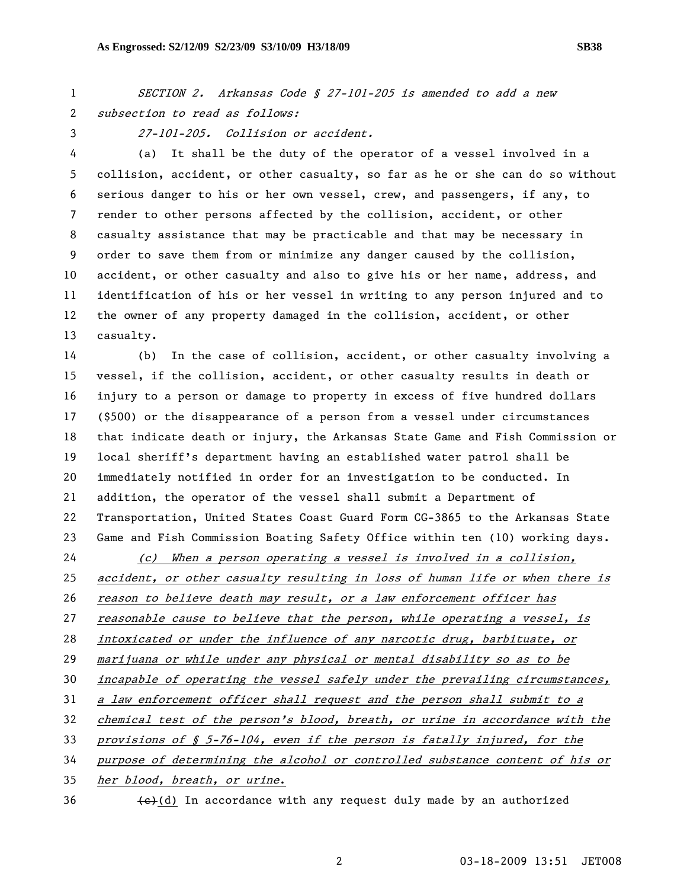1 SECTION 2. Arkansas Code § 27-101-205 is amended to add a new 2 subsection to read as follows:

3 27-101-205. Collision or accident.

4 (a) It shall be the duty of the operator of a vessel involved in a 5 collision, accident, or other casualty, so far as he or she can do so without 6 serious danger to his or her own vessel, crew, and passengers, if any, to 7 render to other persons affected by the collision, accident, or other 8 casualty assistance that may be practicable and that may be necessary in 9 order to save them from or minimize any danger caused by the collision, 10 accident, or other casualty and also to give his or her name, address, and 11 identification of his or her vessel in writing to any person injured and to 12 the owner of any property damaged in the collision, accident, or other 13 casualty.

14 (b) In the case of collision, accident, or other casualty involving a 15 vessel, if the collision, accident, or other casualty results in death or 16 injury to a person or damage to property in excess of five hundred dollars 17 (\$500) or the disappearance of a person from a vessel under circumstances 18 that indicate death or injury, the Arkansas State Game and Fish Commission or 19 local sheriff's department having an established water patrol shall be 20 immediately notified in order for an investigation to be conducted. In 21 addition, the operator of the vessel shall submit a Department of 22 Transportation, United States Coast Guard Form CG-3865 to the Arkansas State 23 Game and Fish Commission Boating Safety Office within ten (10) working days.

(c) When a person operating a vessel is involved in a collision, accident, or other casualty resulting in loss of human life or when there is 26 reason to believe death may result, or a law enforcement officer has reasonable cause to believe that the person, while operating a vessel, is intoxicated or under the influence of any narcotic drug, barbituate, or marijuana or while under any physical or mental disability so as to be 30 incapable of operating the vessel safely under the prevailing circumstances, a law enforcement officer shall request and the person shall submit to a chemical test of the person's blood, breath, or urine in accordance with the provisions of § 5-76-104, even if the person is fatally injured, for the purpose of determining the alcohol or controlled substance content of his or her blood, breath, or urine.

 $\left\{ \frac{1}{2} \right\}$  (d) In accordance with any request duly made by an authorized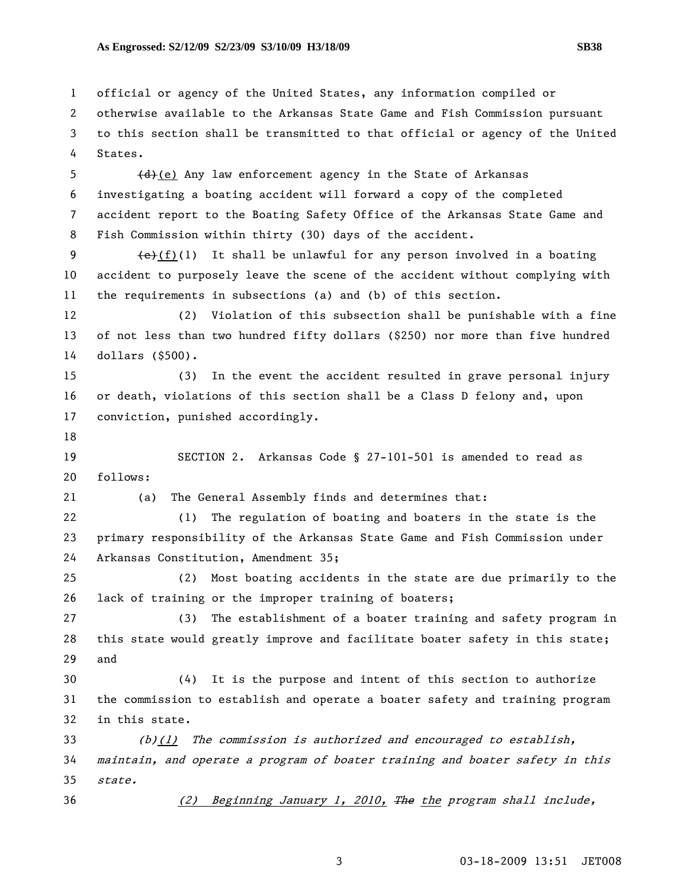1 official or agency of the United States, any information compiled or 2 otherwise available to the Arkansas State Game and Fish Commission pursuant 3 to this section shall be transmitted to that official or agency of the United

4 States.

5  $(d)$  (e) Any law enforcement agency in the State of Arkansas 6 investigating a boating accident will forward a copy of the completed 7 accident report to the Boating Safety Office of the Arkansas State Game and 8 Fish Commission within thirty (30) days of the accident.

9  $\leftarrow$   $\leftarrow$  (f)(1) It shall be unlawful for any person involved in a boating 10 accident to purposely leave the scene of the accident without complying with 11 the requirements in subsections (a) and (b) of this section.

12 (2) Violation of this subsection shall be punishable with a fine 13 of not less than two hundred fifty dollars (\$250) nor more than five hundred 14 dollars (\$500).

15 (3) In the event the accident resulted in grave personal injury 16 or death, violations of this section shall be a Class D felony and, upon 17 conviction, punished accordingly.

18

19 SECTION 2. Arkansas Code § 27-101-501 is amended to read as 20 follows:

21 (a) The General Assembly finds and determines that:

22 (1) The regulation of boating and boaters in the state is the 23 primary responsibility of the Arkansas State Game and Fish Commission under 24 Arkansas Constitution, Amendment 35;

25 (2) Most boating accidents in the state are due primarily to the 26 lack of training or the improper training of boaters;

27 (3) The establishment of a boater training and safety program in 28 this state would greatly improve and facilitate boater safety in this state; 29 and

30 (4) It is the purpose and intent of this section to authorize 31 the commission to establish and operate a boater safety and training program 32 in this state.

33 (b)(1) The commission is authorized and encouraged to establish, 34 maintain, and operate a program of boater training and boater safety in this 35 state.

36 (2) Beginning January 1, 2010, The the program shall include,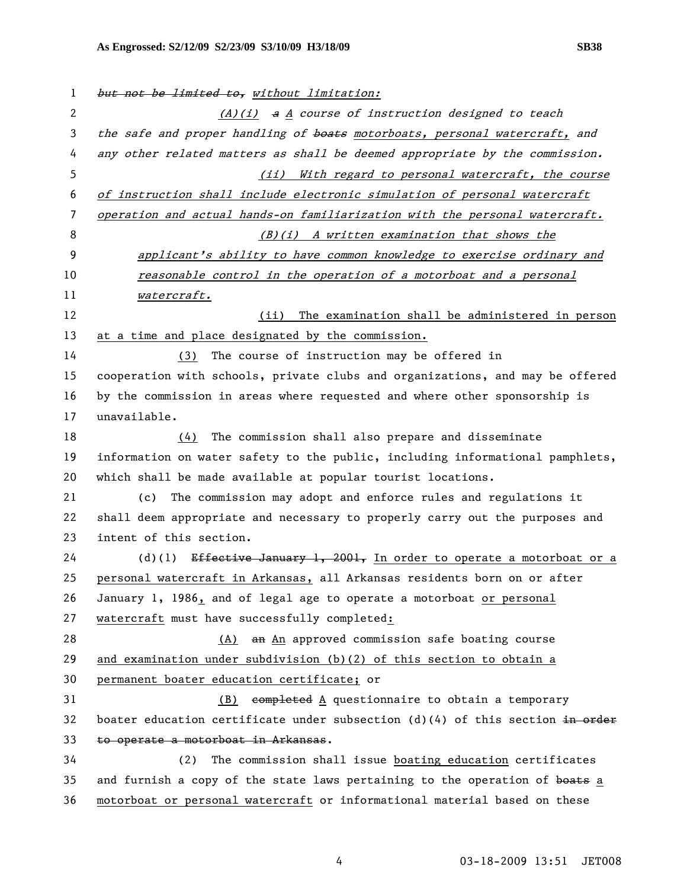1 but not be limited to, without limitation: 2 (A)(i) a A course of instruction designed to teach 3 the safe and proper handling of boats motorboats, personal watercraft, and 4 any other related matters as shall be deemed appropriate by the commission. 5 (ii) With regard to personal watercraft, the course 6 of instruction shall include electronic simulation of personal watercraft 7 operation and actual hands-on familiarization with the personal watercraft. 8 (B)(i) A written examination that shows the 9 **applicant's ability to have common knowledge to exercise ordinary and** 10 reasonable control in the operation of a motorboat and a personal 11 watercraft. 12 (ii) The examination shall be administered in person 13 at a time and place designated by the commission. 14 (3) The course of instruction may be offered in 15 cooperation with schools, private clubs and organizations, and may be offered 16 by the commission in areas where requested and where other sponsorship is 17 unavailable. 18 (4) The commission shall also prepare and disseminate 19 information on water safety to the public, including informational pamphlets, 20 which shall be made available at popular tourist locations. 21 (c) The commission may adopt and enforce rules and regulations it 22 shall deem appropriate and necessary to properly carry out the purposes and 23 intent of this section. 24 (d)(1) Effective January 1, 2001, In order to operate a motorboat or a 25 personal watercraft in Arkansas, all Arkansas residents born on or after 26 January 1, 1986, and of legal age to operate a motorboat or personal 27 watercraft must have successfully completed: 28 (A) an An approved commission safe boating course 29 and examination under subdivision (b)(2) of this section to obtain a 30 permanent boater education certificate; or 31 (B) completed A questionnaire to obtain a temporary 32 boater education certificate under subsection  $(d)(4)$  of this section in order 33 to operate a motorboat in Arkansas. 34 (2) The commission shall issue boating education certificates 35 and furnish a copy of the state laws pertaining to the operation of boats a 36 motorboat or personal watercraft or informational material based on these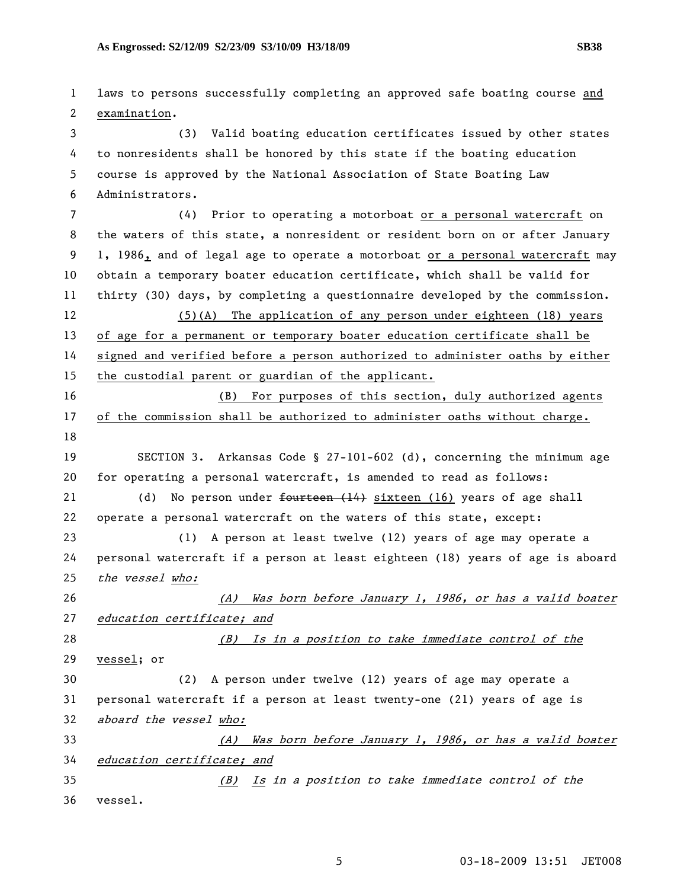1 laws to persons successfully completing an approved safe boating course and 2 examination. 3 (3) Valid boating education certificates issued by other states 4 to nonresidents shall be honored by this state if the boating education 5 course is approved by the National Association of State Boating Law 6 Administrators. 7 (4) Prior to operating a motorboat or a personal watercraft on 8 the waters of this state, a nonresident or resident born on or after January 9 1, 1986, and of legal age to operate a motorboat or a personal watercraft may 10 obtain a temporary boater education certificate, which shall be valid for 11 thirty (30) days, by completing a questionnaire developed by the commission. 12 (5)(A) The application of any person under eighteen (18) years 13 of age for a permanent or temporary boater education certificate shall be 14 signed and verified before a person authorized to administer oaths by either 15 the custodial parent or guardian of the applicant. 16 (B) For purposes of this section, duly authorized agents 17 of the commission shall be authorized to administer oaths without charge. 18 19 SECTION 3. Arkansas Code § 27-101-602 (d), concerning the minimum age 20 for operating a personal watercraft, is amended to read as follows: 21 (d) No person under <del>fourteen (14)</del> sixteen (16) years of age shall 22 operate a personal watercraft on the waters of this state, except: 23 (1) A person at least twelve (12) years of age may operate a 24 personal watercraft if a person at least eighteen (18) years of age is aboard 25 the vessel who: 26 (A) Was born before January 1, 1986, or has a valid boater 27 education certificate; and 28 (B) Is in a position to take immediate control of the 29 vessel; or 30 (2) A person under twelve (12) years of age may operate a 31 personal watercraft if a person at least twenty-one (21) years of age is 32 aboard the vessel who: 33 (A) Was born before January 1, 1986, or has a valid boater 34 education certificate; and 35 (B) Is in a position to take immediate control of the 36 vessel.

5 03-18-2009 13:51 JET008